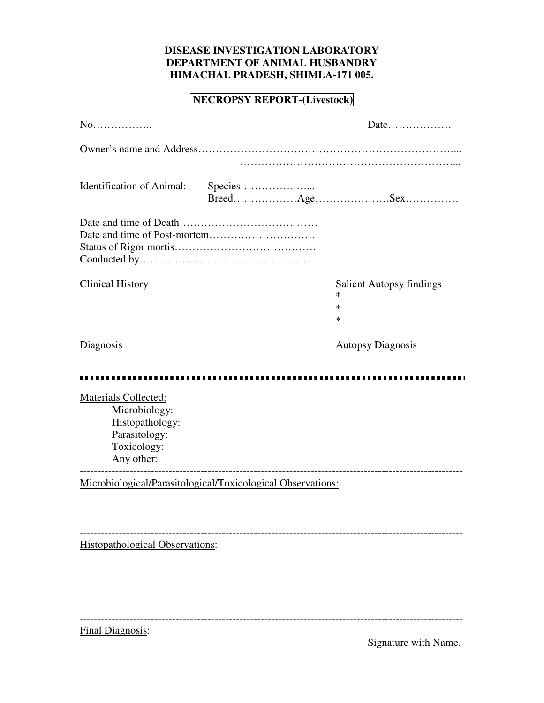## **DISEASE INVESTIGATION LABORATORY DEPARTMENT OF ANIMAL HUSBANDRY HIMACHAL PRADESH, SHIMLA-171 005.**

## **NECROPSY REPORT-(Livestock)**

| $No$                                                                                                   |                                                             | Date                                                     |
|--------------------------------------------------------------------------------------------------------|-------------------------------------------------------------|----------------------------------------------------------|
|                                                                                                        |                                                             |                                                          |
| <b>Identification of Animal:</b>                                                                       | Species                                                     |                                                          |
|                                                                                                        |                                                             |                                                          |
| <b>Clinical History</b>                                                                                |                                                             | <b>Salient Autopsy findings</b><br>∗<br>$\ast$<br>$\ast$ |
| Diagnosis                                                                                              |                                                             | <b>Autopsy Diagnosis</b>                                 |
| Materials Collected:<br>Microbiology:<br>Histopathology:<br>Parasitology:<br>Toxicology:<br>Any other: |                                                             |                                                          |
|                                                                                                        | Microbiological/Parasitological/Toxicological Observations: |                                                          |
| <b>Histopathological Observations:</b>                                                                 |                                                             |                                                          |

------------------------------------------------------------------------------------------------------------ Final Diagnosis:

Signature with Name.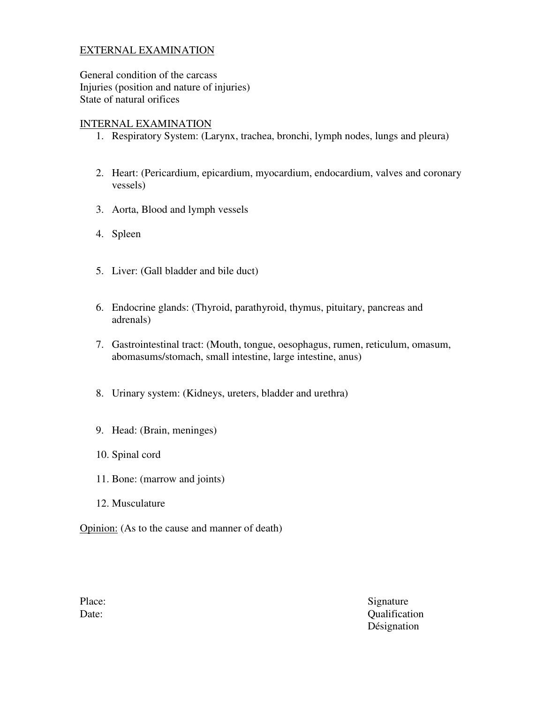#### EXTERNAL EXAMINATION

General condition of the carcass Injuries (position and nature of injuries) State of natural orifices

#### INTERNAL EXAMINATION

- 1. Respiratory System: (Larynx, trachea, bronchi, lymph nodes, lungs and pleura)
- 2. Heart: (Pericardium, epicardium, myocardium, endocardium, valves and coronary vessels)
- 3. Aorta, Blood and lymph vessels
- 4. Spleen
- 5. Liver: (Gall bladder and bile duct)
- 6. Endocrine glands: (Thyroid, parathyroid, thymus, pituitary, pancreas and adrenals)
- 7. Gastrointestinal tract: (Mouth, tongue, oesophagus, rumen, reticulum, omasum, abomasums/stomach, small intestine, large intestine, anus)
- 8. Urinary system: (Kidneys, ureters, bladder and urethra)
- 9. Head: (Brain, meninges)
- 10. Spinal cord
- 11. Bone: (marrow and joints)
- 12. Musculature

Opinion: (As to the cause and manner of death)

Place: Signature Date: Qualification Désignation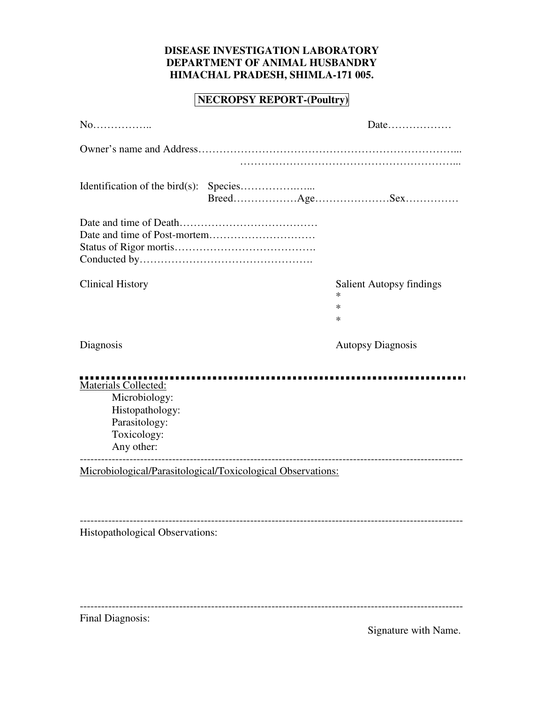## **DISEASE INVESTIGATION LABORATORY DEPARTMENT OF ANIMAL HUSBANDRY HIMACHAL PRADESH, SHIMLA-171 005.**

# **NECROPSY REPORT-(Poultry)**

| $No$                                                                                                   |                                                               |
|--------------------------------------------------------------------------------------------------------|---------------------------------------------------------------|
|                                                                                                        |                                                               |
|                                                                                                        |                                                               |
|                                                                                                        |                                                               |
| <b>Clinical History</b>                                                                                | <b>Salient Autopsy findings</b><br>$\ast$<br>$\ast$<br>$\ast$ |
| Diagnosis                                                                                              | <b>Autopsy Diagnosis</b>                                      |
| Materials Collected:<br>Microbiology:<br>Histopathology:<br>Parasitology:<br>Toxicology:<br>Any other: |                                                               |
| Microbiological/Parasitological/Toxicological Observations:                                            |                                                               |
| Histopathological Observations:                                                                        |                                                               |
| Final Diagnosis:                                                                                       |                                                               |

Signature with Name.